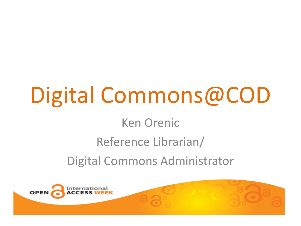# Digital Commons@COD

### Ken Orenic

### Reference Librarian/

Digital Commons Administrator

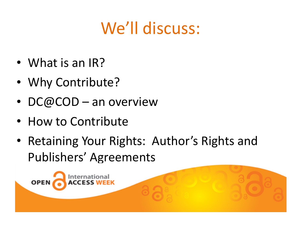### We'll discuss:

- What is an IR?
- Why Contribute?
- DC@COD an overview
- How to Contribute

**OPEN** 

• Retaining Your Rights: Author's Rights and Publishers' Agreements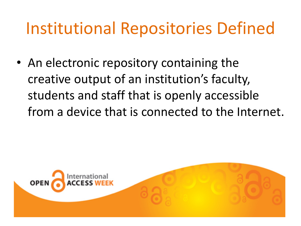### Institutional Repositories Defined

• An electronic repository containing the creative output of an institution's faculty, students and staff that is openly accessible from a device that is connected to the Internet.

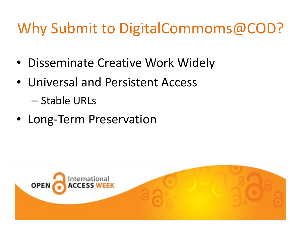### Why Submit to DigitalCommoms@COD?

- Disseminate Creative Work Widely
- Universal and Persistent Access

– Stable URLs

• Long-Term Preservation

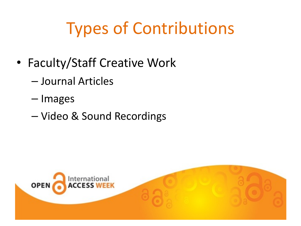## **Types of Contributions**

- Faculty/Staff Creative Work
	- Journal Articles
	- Images
	- Video & Sound Recordings

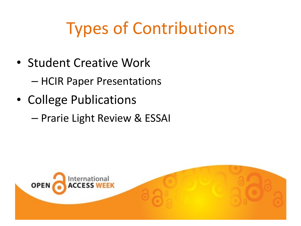## **Types of Contributions**

• Student Creative Work

– HCIR Paper Presentations

- College Publications
	- Prarie Light Review & ESSAI

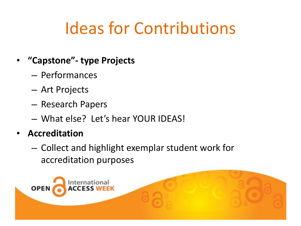## Ideas for Contributions

- **"Capstone"- type Projects** 
	- Performances
	- Art Projects
	- $-$  Research Papers
	- What else? Let's hear YOUR IDEAS!
- **Accreditation** 
	- $-$  Collect and highlight exemplar student work for accreditation purposes

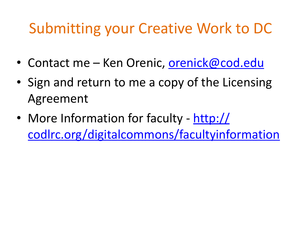### Submitting your Creative Work to DC

- Contact me Ken Orenic, orenick@cod.edu
- Sign and return to me a copy of the Licensing Agreement
- More Information for faculty http:// [codlrc.org/digitalcommons/facultyinformation](http://codlrc.org/digitalcommons/facultyinformation)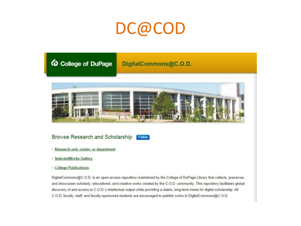### DC@COD



### DigitalCommons@C.O.D.



### Browse Research and Scholarship Follow

- Research unit, center, or department
- **SelectedWorks Gallery**
- **Excellege Publications**

DigitalCommons@C.O.D. is an open-access repository maintained by the College of DuPage Library that collects, preserves, and showcases scholarly, educational, and creative works created by the C.O.D. community. This repository facilitates global discovery of and access to C.O.D.'s intellectual output while providing a stable, long-term home for digital scholarship. All C.O.D. faculty, staff, and faculty-sponsored students are encouraged to publish works in DigitalCommons@C.O.D.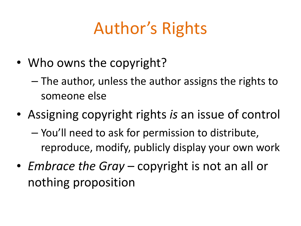## Author's Rights

• Who owns the copyright?

 $-$  The author, unless the author assigns the rights to someone else

- Assigning copyright rights *is* an issue of control – You'll need to ask for permission to distribute, reproduce, modify, publicly display your own work
- *Embrace the Gray* copyright is not an all or nothing proposition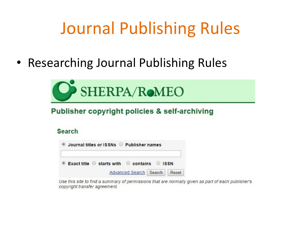### Journal Publishing Rules

• Researching Journal Publishing Rules



### Publisher copyright policies & self-archiving

### **Search**

| Journal titles or ISSNs Publisher names |                                  |  |  |  |
|-----------------------------------------|----------------------------------|--|--|--|
| Exact title Starts with Contains SISSN  |                                  |  |  |  |
|                                         | Advanced Search   Search   Reset |  |  |  |

Use this site to find a summary of permissions that are normally given as part of each publisher's copyright transfer agreement.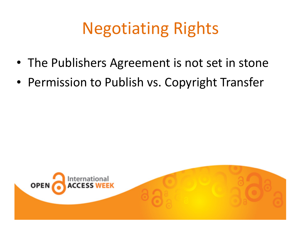## **Negotiating Rights**

- The Publishers Agreement is not set in stone
- Permission to Publish vs. Copyright Transfer

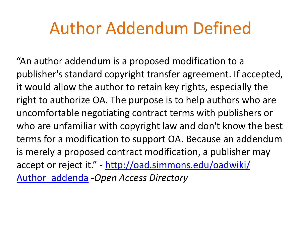### Author Addendum Defined

"An author addendum is a proposed modification to a publisher's standard copyright transfer agreement. If accepted, it would allow the author to retain key rights, especially the right to authorize OA. The purpose is to help authors who are uncomfortable negotiating contract terms with publishers or who are unfamiliar with copyright law and don't know the best terms for a modification to support OA. Because an addendum is merely a proposed contract modification, a publisher may accept or reject it." - http://oad.simmons.edu/oadwiki/ Author\_addenda -*Open Access Directory*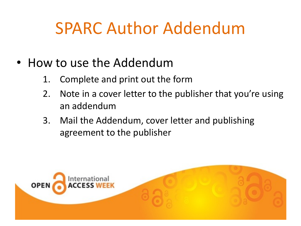### SPARC Author Addendum

- How to use the Addendum
	- 1. Complete and print out the form
	- 2. Note in a cover letter to the publisher that you're using an addendum
	- 3. Mail the Addendum, cover letter and publishing agreement to the publisher